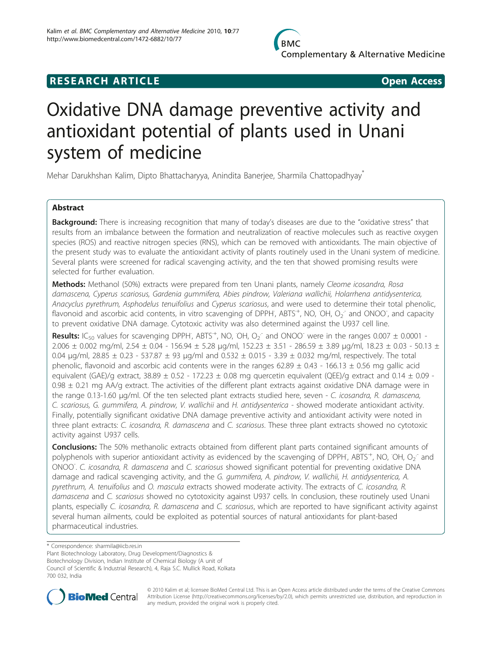

# **RESEARCH ARTICLE Example 2018 CONSIDERING ACCESS**

# Oxidative DNA damage preventive activity and antioxidant potential of plants used in Unani system of medicine

Mehar Darukhshan Kalim, Dipto Bhattacharyya, Anindita Banerjee, Sharmila Chattopadhyay\*

# Abstract

Background: There is increasing recognition that many of today's diseases are due to the "oxidative stress" that results from an imbalance between the formation and neutralization of reactive molecules such as reactive oxygen species (ROS) and reactive nitrogen species (RNS), which can be removed with antioxidants. The main objective of the present study was to evaluate the antioxidant activity of plants routinely used in the Unani system of medicine. Several plants were screened for radical scavenging activity, and the ten that showed promising results were selected for further evaluation.

Methods: Methanol (50%) extracts were prepared from ten Unani plants, namely Cleome icosandra, Rosa damascena, Cyperus scariosus, Gardenia gummifera, Abies pindrow, Valeriana wallichii, Holarrhena antidysenterica, Anacyclus pyrethrum, Asphodelus tenuifolius and Cyperus scariosus, and were used to determine their total phenolic, flavonoid and ascorbic acid contents, in vitro scavenging of DPPH, ABTS<sup>+</sup>, NO, OH, O<sub>2</sub><sup>-</sup> and ONOO<sup>-</sup>, and capacity to prevent oxidative DNA damage. Cytotoxic activity was also determined against the U937 cell line.

Results: IC<sub>50</sub> values for scavenging DPPH, ABTS<sup>+</sup>, NO, OH, O<sub>2</sub><sup>-</sup> and ONOO<sup>-</sup> were in the ranges 0.007  $\pm$  0.0001 -2.006 ± 0.002 mg/ml, 2.54 ± 0.04 - 156.94 ± 5.28 μg/ml, 152.23 ± 3.51 - 286.59 ± 3.89 μg/ml, 18.23 ± 0.03 - 50.13 ± 0.04 μg/ml,  $28.85 \pm 0.23 - 537.87 \pm 93$  μg/ml and  $0.532 \pm 0.015 - 3.39 \pm 0.032$  mg/ml, respectively. The total phenolic, flavonoid and ascorbic acid contents were in the ranges  $62.89 \pm 0.43 - 166.13 \pm 0.56$  mg gallic acid equivalent (GAE)/g extract, 38.89  $\pm$  0.52 - 172.23  $\pm$  0.08 mg quercetin equivalent (QEE)/g extract and 0.14  $\pm$  0.09 - $0.98 \pm 0.21$  mg AA/g extract. The activities of the different plant extracts against oxidative DNA damage were in the range 0.13-1.60 μg/ml. Of the ten selected plant extracts studied here, seven - C. icosandra, R. damascena, C. scariosus, G. gummifera, A. pindrow, V. wallichii and H. antidysenterica - showed moderate antioxidant activity. Finally, potentially significant oxidative DNA damage preventive activity and antioxidant activity were noted in three plant extracts: C. icosandra, R. damascena and C. scariosus. These three plant extracts showed no cytotoxic activity against U937 cells.

Conclusions: The 50% methanolic extracts obtained from different plant parts contained significant amounts of polyphenols with superior antioxidant activity as evidenced by the scavenging of DPPH, ABTS<sup>+</sup>, NO, OH, O<sub>2</sub><sup>-</sup> and .<br>ONOO<sup>-</sup>. C. icosandra, R. damascena and C. scariosus showed significant potential for preventing oxidative DNA damage and radical scavenging activity, and the G. gummifera, A. pindrow, V. wallichii, H. antidysenterica, A. pyrethrum, A. tenuifolius and O. mascula extracts showed moderate activity. The extracts of C. icosandra, R. damascena and C. scariosus showed no cytotoxicity against U937 cells. In conclusion, these routinely used Unani plants, especially C. icosandra, R. damascena and C. scariosus, which are reported to have significant activity against several human ailments, could be exploited as potential sources of natural antioxidants for plant-based pharmaceutical industries.

Plant Biotechnology Laboratory, Drug Development/Diagnostics & Biotechnology Division, Indian Institute of Chemical Biology (A unit of Council of Scientific & Industrial Research), 4, Raja S.C. Mullick Road, Kolkata 700 032, India



© 2010 Kalim et al; licensee BioMed Central Ltd. This is an Open Access article distributed under the terms of the Creative Commons Attribution License [\(http://creativecommons.org/licenses/by/2.0](http://creativecommons.org/licenses/by/2.0)), which permits unrestricted use, distribution, and reproduction in any medium, provided the original work is properly cited.

<sup>\*</sup> Correspondence: [sharmila@iicb.res.in](mailto:sharmila@iicb.res.in)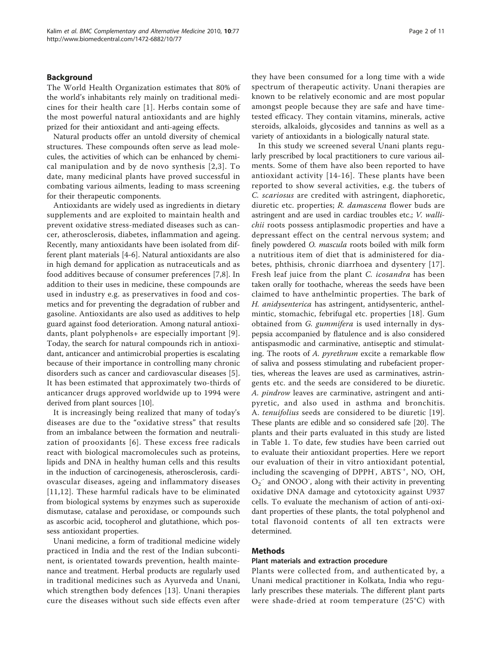#### Background

The World Health Organization estimates that 80% of the world's inhabitants rely mainly on traditional medicines for their health care [[1\]](#page-9-0). Herbs contain some of the most powerful natural antioxidants and are highly prized for their antioxidant and anti-ageing effects.

Natural products offer an untold diversity of chemical structures. These compounds often serve as lead molecules, the activities of which can be enhanced by chemical manipulation and by de novo synthesis [[2](#page-9-0),[3\]](#page-9-0). To date, many medicinal plants have proved successful in combating various ailments, leading to mass screening for their therapeutic components.

Antioxidants are widely used as ingredients in dietary supplements and are exploited to maintain health and prevent oxidative stress-mediated diseases such as cancer, atherosclerosis, diabetes, inflammation and ageing. Recently, many antioxidants have been isolated from different plant materials [[4-6\]](#page-9-0). Natural antioxidants are also in high demand for application as nutraceuticals and as food additives because of consumer preferences [\[7,8](#page-9-0)]. In addition to their uses in medicine, these compounds are used in industry e.g. as preservatives in food and cosmetics and for preventing the degradation of rubber and gasoline. Antioxidants are also used as additives to help guard against food deterioration. Among natural antioxidants, plant polyphenols+ are especially important [[9](#page-9-0)]. Today, the search for natural compounds rich in antioxidant, anticancer and antimicrobial properties is escalating because of their importance in controlling many chronic disorders such as cancer and cardiovascular diseases [\[5](#page-9-0)]. It has been estimated that approximately two-thirds of anticancer drugs approved worldwide up to 1994 were derived from plant sources [\[10](#page-9-0)].

It is increasingly being realized that many of today's diseases are due to the "oxidative stress" that results from an imbalance between the formation and neutralization of prooxidants [[6](#page-9-0)]. These excess free radicals react with biological macromolecules such as proteins, lipids and DNA in healthy human cells and this results in the induction of carcinogenesis, atherosclerosis, cardiovascular diseases, ageing and inflammatory diseases [[11](#page-9-0),[12](#page-9-0)]. These harmful radicals have to be eliminated from biological systems by enzymes such as superoxide dismutase, catalase and peroxidase, or compounds such as ascorbic acid, tocopherol and glutathione, which possess antioxidant properties.

Unani medicine, a form of traditional medicine widely practiced in India and the rest of the Indian subcontinent, is orientated towards prevention, health maintenance and treatment. Herbal products are regularly used in traditional medicines such as Ayurveda and Unani, which strengthen body defences [[13\]](#page-9-0). Unani therapies cure the diseases without such side effects even after

they have been consumed for a long time with a wide spectrum of therapeutic activity. Unani therapies are known to be relatively economic and are most popular amongst people because they are safe and have timetested efficacy. They contain vitamins, minerals, active steroids, alkaloids, glycosides and tannins as well as a variety of antioxidants in a biologically natural state.

In this study we screened several Unani plants regularly prescribed by local practitioners to cure various ailments. Some of them have also been reported to have antioxidant activity [[14](#page-9-0)-[16\]](#page-9-0). These plants have been reported to show several activities, e.g. the tubers of C. scariosus are credited with astringent, diaphoretic, diuretic etc. properties; R. damascena flower buds are astringent and are used in cardiac troubles etc.; V. wallichii roots possess antiplasmodic properties and have a depressant effect on the central nervous system; and finely powdered O. mascula roots boiled with milk form a nutritious item of diet that is administered for diabetes, phthisis, chronic diarrhoea and dysentery [[17\]](#page-9-0). Fresh leaf juice from the plant C. icosandra has been taken orally for toothache, whereas the seeds have been claimed to have anthelmintic properties. The bark of H. anidysenterica has astringent, antidysenteric, anthelmintic, stomachic, febrifugal etc. properties [[18](#page-9-0)]. Gum obtained from G. gummifera is used internally in dyspepsia accompanied by flatulence and is also considered antispasmodic and carminative, antiseptic and stimulating. The roots of A. pyrethrum excite a remarkable flow of saliva and possess stimulating and rubefacient properties, whereas the leaves are used as carminatives, astringents etc. and the seeds are considered to be diuretic. A. pindrow leaves are carminative, astringent and antipyretic, and also used in asthma and bronchitis. A. tenuifolius seeds are considered to be diuretic [[19](#page-9-0)]. These plants are edible and so considered safe [[20\]](#page-9-0). The plants and their parts evaluated in this study are listed in Table [1](#page-2-0). To date, few studies have been carried out to evaluate their antioxidant properties. Here we report our evaluation of their in vitro antioxidant potential, including the scavenging of DPPH, ABTS<sup>+</sup>, NO, OH, O<sub>2</sub><sup>-</sup> and ONOO<sup>-</sup>, along with their activity in preventing oxidative DNA damage and cytotoxicity against U937 cells. To evaluate the mechanism of action of anti-oxidant properties of these plants, the total polyphenol and total flavonoid contents of all ten extracts were determined.

#### Methods

#### Plant materials and extraction procedure

Plants were collected from, and authenticated by, a Unani medical practitioner in Kolkata, India who regularly prescribes these materials. The different plant parts were shade-dried at room temperature (25°C) with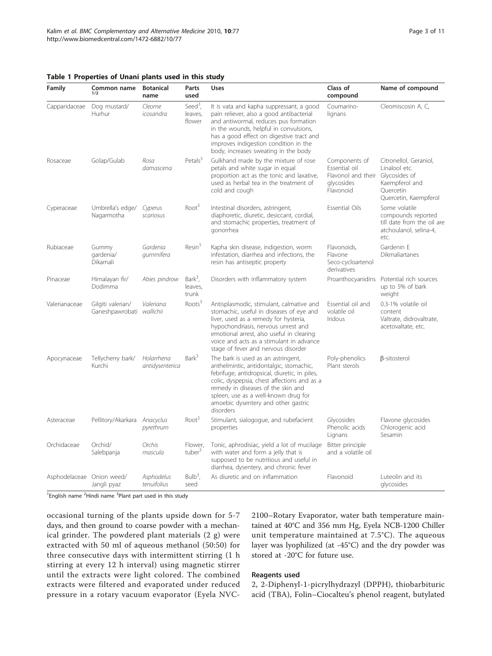<span id="page-2-0"></span>Table 1 Properties of Unani plants used in this study

| Family                    | Common name<br>1/2                             | <b>Botanical</b><br>name      | Parts<br>used                   | <b>Uses</b>                                                                                                                                                                                                                                                                                                     | Class of<br>compound                                                                          | Name of compound                                                                                    |
|---------------------------|------------------------------------------------|-------------------------------|---------------------------------|-----------------------------------------------------------------------------------------------------------------------------------------------------------------------------------------------------------------------------------------------------------------------------------------------------------------|-----------------------------------------------------------------------------------------------|-----------------------------------------------------------------------------------------------------|
| Capparidaceae             | Dog mustard/<br>Hurhur                         | Cleome<br>icosandra           | Seed $3$ ,<br>leaves,<br>flower | It is vata and kapha suppressant, a good<br>pain reliever, also a good antibacterial<br>and antiwormal, reduces pus formation<br>in the wounds, helpful in convulsions,<br>has a good effect on digestive tract and<br>improves indigestion condition in the<br>body, increases sweating in the body            | Coumarino-<br>lignans                                                                         | Cleomiscosin A, C,                                                                                  |
| Rosaceae                  | Golap/Gulab                                    | Rosa<br>damascena             | Petals $3$                      | Gulkhand made by the mixture of rose<br>petals and white sugar in equal<br>proportion act as the tonic and laxative,<br>used as herbal tea in the treatment of<br>cold and cough                                                                                                                                | Components of<br>Essential oil<br>Flavonol and their Glycosides of<br>glycosides<br>Flavonoid | Citronellol, Geraniol,<br>Linalool etc.<br>Kaempferol and<br>Quercetin<br>Quercetin, Kaempferol     |
| Cyperaceae                | Umbrella's edge/<br>Nagarmotha                 | Cyperus<br>scariosus          | Root <sup>3</sup>               | Intestinal disorders, astringent,<br>diaphoretic, diuretic, desiccant, cordial,<br>and stomachic properties, treatment of<br>gonorrhea                                                                                                                                                                          | <b>Essential Oils</b>                                                                         | Some volatile<br>compounds reported<br>till date from the oil are<br>atchoulanol, selina-4,<br>etc. |
| Rubiaceae                 | Gummy<br>qardenia/<br>Dikamali                 | Gardenia<br>gummifera         | Resin <sup>3</sup>              | Kapha skin disease, indigestion, worm<br>infestation, diarrhea and infections, the<br>resin has antiseptic property                                                                                                                                                                                             | Flavonoids,<br>Flavone<br>Seco-cycloartenol<br>derivatives                                    | Gardenin E<br>Dikmaliartanes                                                                        |
| Pinaceae                  | Himalayan fir/<br>Dodimma                      | Abies pindrow                 | $Bark3$ ,<br>leaves,<br>trunk   | Disorders with inflammatory system                                                                                                                                                                                                                                                                              |                                                                                               | Proanthocyanidins Potential rich sources<br>up to 5% of bark<br>weight                              |
| Valerianaceae             | Gilgiti valerian/<br>Ganeshpawrobati wallichii | Valeriana                     | $Roots^3$                       | Antisplasmodic, stimulant, calmative and<br>stomachic, useful in diseases of eye and<br>liver, used as a remedy for hysteria,<br>hypochondriasis, nervous unrest and<br>emotional arrest, also useful in clearing<br>voice and acts as a stimulant in advance<br>stage of fever and nervous disorder            | Essential oil and<br>volatile oil<br>Iridous                                                  | 0.3-1% volatile oil<br>content<br>Valtrate, didrovaltrate,<br>acetovaltate, etc.                    |
| Apocynaceae               | Tellycherry bark/<br>Kurchi                    | Holarrhena<br>antidysenterica | Bark <sup>3</sup>               | The bark is used as an astringent,<br>anthelmintic, antidontalgic, stomachic,<br>febrifuge, antidropsical, diuretic, in piles,<br>colic, dyspepsia, chest affections and as a<br>remedy in diseases of the skin and<br>spleen, use as a well-known drug for<br>amoebic dysentery and other gastric<br>disorders | Poly-phenolics<br>Plant sterols                                                               | β-sitosterol                                                                                        |
| Asteraceae                | Pellitory/Akarkara Anacyclus                   | pyrethrum                     | Root <sup>3</sup>               | Stimulant, sialogogue, and rubefacient<br>properties                                                                                                                                                                                                                                                            | Glycosides<br>Phenolic acids<br>Lignans                                                       | Flavone glycosides<br>Chlorogenic acid<br>Sesamin                                                   |
| Orchidaceae               | Orchid/<br>Salebpanja                          | Orchis<br>mascula             | Flower,<br>tuber <sup>3</sup>   | Tonic, aphrodisiac, yield a lot of mucilage<br>with water and form a jelly that is<br>supposed to be nutritious and useful in<br>diarrhea, dysentery, and chronic fever                                                                                                                                         | Bitter principle<br>and a volatile oil                                                        |                                                                                                     |
| Asphodelaceae Onion weed/ | Jangli pyaz                                    | Asphodelus<br>tenuifolius     | $Bulb3$ ,<br>seed               | As diuretic and on inflammation                                                                                                                                                                                                                                                                                 | Flavonoid                                                                                     | Luteolin and its<br>glycosides                                                                      |

<sup>1</sup> English name <sup>2</sup> Hindi name <sup>3</sup> Plant part used in this study

occasional turning of the plants upside down for 5-7 days, and then ground to coarse powder with a mechanical grinder. The powdered plant materials (2 g) were extracted with 50 ml of aqueous methanol (50:50) for three consecutive days with intermittent stirring (1 h stirring at every 12 h interval) using magnetic stirrer until the extracts were light colored. The combined extracts were filtered and evaporated under reduced pressure in a rotary vacuum evaporator (Eyela NVC-

2100–Rotary Evaporator, water bath temperature maintained at 40°C and 356 mm Hg, Eyela NCB-1200 Chiller unit temperature maintained at 7.5°C). The aqueous layer was lyophilized (at -45°C) and the dry powder was stored at -20°C for future use.

#### Reagents used

2, 2-Diphenyl-1-picrylhydrazyl (DPPH), thiobarbituric acid (TBA), Folin–Ciocalteu's phenol reagent, butylated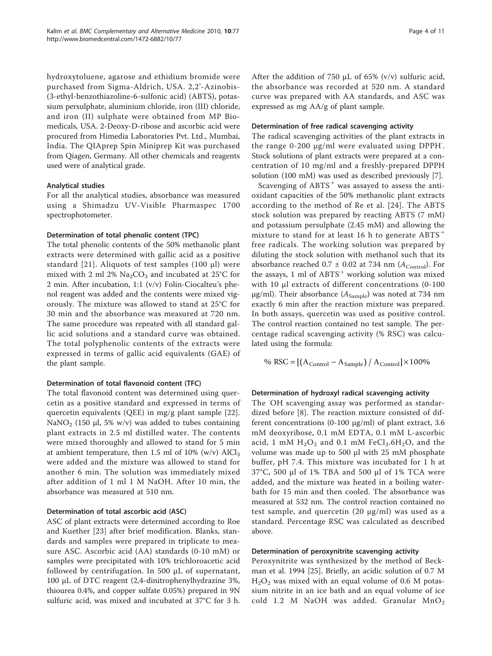hydroxytoluene, agarose and ethidium bromide were purchased from Sigma-Aldrich, USA. 2,2'-Azinobis- (3-ethyl-benzothiazoline-6-sulfonic acid) (ABTS), potassium persulphate, aluminium chloride, iron (III) chloride, and iron (II) sulphate were obtained from MP Biomedicals, USA. 2-Deoxy-D-ribose and ascorbic acid were procured from Himedia Laboratories Pvt. Ltd., Mumbai, India. The QIAprep Spin Miniprep Kit was purchased from Qiagen, Germany. All other chemicals and reagents used were of analytical grade.

#### Analytical studies

For all the analytical studies, absorbance was measured using a Shimadzu UV-Visible Pharmaspec 1700 spectrophotometer.

#### Determination of total phenolic content (TPC)

The total phenolic contents of the 50% methanolic plant extracts were determined with gallic acid as a positive standard [[21](#page-9-0)]. Aliquots of test samples (100  $\mu$ l) were mixed with 2 ml 2%  $Na<sub>2</sub>CO<sub>3</sub>$  and incubated at 25°C for 2 min. After incubation, 1:1 (v/v) Folin-Ciocalteu's phenol reagent was added and the contents were mixed vigorously. The mixture was allowed to stand at 25°C for 30 min and the absorbance was measured at 720 nm. The same procedure was repeated with all standard gallic acid solutions and a standard curve was obtained. The total polyphenolic contents of the extracts were expressed in terms of gallic acid equivalents (GAE) of the plant sample.

# Determination of total flavonoid content (TFC)

The total flavonoid content was determined using quercetin as a positive standard and expressed in terms of quercetin equivalents (QEE) in mg/g plant sample [\[22](#page-9-0)]. NaNO<sub>2</sub> (150 μl, 5% w/v) was added to tubes containing plant extracts in 2.5 ml distilled water. The contents were mixed thoroughly and allowed to stand for 5 min at ambient temperature, then 1.5 ml of 10% (w/v)  $\text{AlCl}_3$ were added and the mixture was allowed to stand for another 6 min. The solution was immediately mixed after addition of 1 ml 1 M NaOH. After 10 min, the absorbance was measured at 510 nm.

#### Determination of total ascorbic acid (ASC)

ASC of plant extracts were determined according to Roe and Kuether [[23\]](#page-9-0) after brief modification. Blanks, standards and samples were prepared in triplicate to measure ASC. Ascorbic acid (AA) standards (0-10 mM) or samples were precipitated with 10% trichloroacetic acid followed by centrifugation. In 500 μL of supernatant, 100 μL of DTC reagent (2,4-dinitrophenylhydrazine 3%, thiourea 0.4%, and copper sulfate 0.05%) prepared in 9N sulfuric acid, was mixed and incubated at 37°C for 3 h.

After the addition of 750  $\mu$ L of 65% (v/v) sulfuric acid, the absorbance was recorded at 520 nm. A standard curve was prepared with AA standards, and ASC was expressed as mg AA/g of plant sample.

#### Determination of free radical scavenging activity

The radical scavenging activities of the plant extracts in the range 0-200 μg/ml were evaluated using DPPH· . Stock solutions of plant extracts were prepared at a concentration of 10 mg/ml and a freshly-prepared DPPH solution (100 mM) was used as described previously [\[7](#page-9-0)].

Scavenging of ABTS<sup>+</sup> was assayed to assess the antioxidant capacities of the 50% methanolic plant extracts according to the method of Re et al. [[24](#page-9-0)]. The ABTS stock solution was prepared by reacting ABTS (7 mM) and potassium persulphate (2.45 mM) and allowing the mixture to stand for at least 16 h to generate ABTS<sup>+</sup> free radicals. The working solution was prepared by diluting the stock solution with methanol such that its absorbance reached 0.7  $\pm$  0.02 at 734 nm ( $A_{\text{Control}}$ ). For the assays, 1 ml of ABTS<sup>+</sup> working solution was mixed with 10 μl extracts of different concentrations (0-100  $\mu$ g/ml). Their absorbance ( $A_{Sample}$ ) was noted at 734 nm exactly 6 min after the reaction mixture was prepared. In both assays, quercetin was used as positive control. The control reaction contained no test sample. The percentage radical scavenging activity (% RSC) was calculated using the formula:

% RSC = 
$$
[(A_{\text{Control}} - A_{\text{Sample}}) / A_{\text{Control}}] \times 100\%
$$

#### Determination of hydroxyl radical scavenging activity

The OH scavenging assay was performed as standardized before [[8](#page-9-0)]. The reaction mixture consisted of different concentrations (0-100 μg/ml) of plant extract, 3.6 mM deoxyribose, 0.1 mM EDTA, 0.1 mM L-ascorbic acid, 1 mM  $H_2O_2$  and 0.1 mM FeCl<sub>3</sub>.6H<sub>2</sub>O, and the volume was made up to 500 μl with 25 mM phosphate buffer, pH 7.4. This mixture was incubated for 1 h at 37°C, 500 μl of 1% TBA and 500 μl of 1% TCA were added, and the mixture was heated in a boiling waterbath for 15 min and then cooled. The absorbance was measured at 532 nm. The control reaction contained no test sample, and quercetin (20 μg/ml) was used as a standard. Percentage RSC was calculated as described above.

#### Determination of peroxynitrite scavenging activity

Peroxynitrite was synthesized by the method of Beckman et al. 1994 [[25\]](#page-9-0). Briefly, an acidic solution of 0.7 M  $H<sub>2</sub>O<sub>2</sub>$  was mixed with an equal volume of 0.6 M potassium nitrite in an ice bath and an equal volume of ice cold 1.2 M NaOH was added. Granular  $MnO<sub>2</sub>$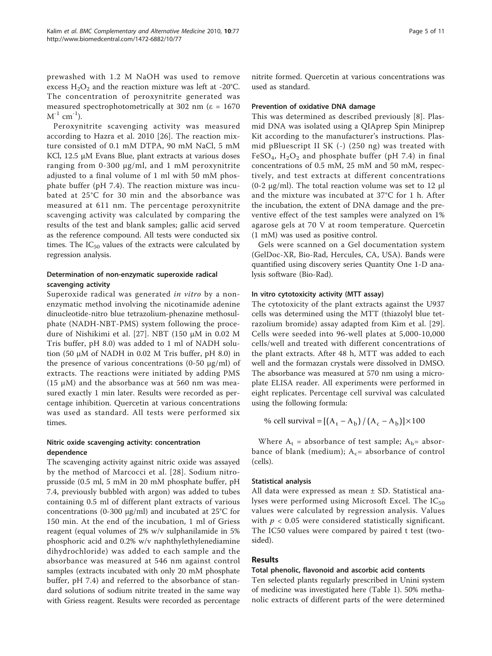prewashed with 1.2 M NaOH was used to remove excess  $H_2O_2$  and the reaction mixture was left at -20°C. The concentration of peroxynitrite generated was measured spectrophotometrically at 302 nm ( $\epsilon$  = 1670  $M^{-1}$  cm<sup>-1</sup>).

Peroxynitrite scavenging activity was measured according to Hazra et al. 2010 [[26\]](#page-9-0). The reaction mixture consisted of 0.1 mM DTPA, 90 mM NaCl, 5 mM KCl, 12.5 μM Evans Blue, plant extracts at various doses ranging from 0-300 μg/ml, and 1 mM peroxynitrite adjusted to a final volume of 1 ml with 50 mM phosphate buffer (pH 7.4). The reaction mixture was incubated at 25°C for 30 min and the absorbance was measured at 611 nm. The percentage peroxynitrite scavenging activity was calculated by comparing the results of the test and blank samples; gallic acid served as the reference compound. All tests were conducted six times. The  $IC_{50}$  values of the extracts were calculated by regression analysis.

# Determination of non-enzymatic superoxide radical scavenging activity

Superoxide radical was generated *in vitro* by a nonenzymatic method involving the nicotinamide adenine dinucleotide-nitro blue tetrazolium-phenazine methosulphate (NADH-NBT-PMS) system following the procedure of Nishikimi et al. [[27\]](#page-9-0). NBT (150 μM in 0.02 M Tris buffer, pH 8.0) was added to 1 ml of NADH solution (50 μM of NADH in 0.02 M Tris buffer, pH 8.0) in the presence of various concentrations  $(0-50 \mu g/ml)$  of extracts. The reactions were initiated by adding PMS (15  $\mu$ M) and the absorbance was at 560 nm was measured exactly 1 min later. Results were recorded as percentage inhibition. Quercetin at various concentrations was used as standard. All tests were performed six times.

# Nitric oxide scavenging activity: concentration dependence

The scavenging activity against nitric oxide was assayed by the method of Marcocci et al. [[28](#page-9-0)]. Sodium nitroprusside (0.5 ml, 5 mM in 20 mM phosphate buffer, pH 7.4, previously bubbled with argon) was added to tubes containing 0.5 ml of different plant extracts of various concentrations (0-300 μg/ml) and incubated at 25°C for 150 min. At the end of the incubation, 1 ml of Griess reagent (equal volumes of 2% w/v sulphanilamide in 5% phosphoric acid and 0.2% w/v naphthylethylenediamine dihydrochloride) was added to each sample and the absorbance was measured at 546 nm against control samples (extracts incubated with only 20 mM phosphate buffer, pH 7.4) and referred to the absorbance of standard solutions of sodium nitrite treated in the same way with Griess reagent. Results were recorded as percentage nitrite formed. Quercetin at various concentrations was used as standard.

#### Prevention of oxidative DNA damage

This was determined as described previously [[8\]](#page-9-0). Plasmid DNA was isolated using a QIAprep Spin Miniprep Kit according to the manufacturer's instructions. Plasmid pBluescript II SK (-) (250 ng) was treated with FeSO<sub>4</sub>,  $H_2O_2$  and phosphate buffer (pH 7.4) in final concentrations of 0.5 mM, 25 mM and 50 mM, respectively, and test extracts at different concentrations (0-2 μg/ml). The total reaction volume was set to 12 μl and the mixture was incubated at 37°C for 1 h. After the incubation, the extent of DNA damage and the preventive effect of the test samples were analyzed on 1% agarose gels at 70 V at room temperature. Quercetin (1 mM) was used as positive control.

Gels were scanned on a Gel documentation system (GelDoc-XR, Bio-Rad, Hercules, CA, USA). Bands were quantified using discovery series Quantity One 1-D analysis software (Bio-Rad).

#### In vitro cytotoxicity activity (MTT assay)

The cytotoxicity of the plant extracts against the U937 cells was determined using the MTT (thiazolyl blue tetrazolium bromide) assay adapted from Kim et al. [[29](#page-9-0)]. Cells were seeded into 96-well plates at 5,000-10,000 cells/well and treated with different concentrations of the plant extracts. After 48 h, MTT was added to each well and the formazan crystals were dissolved in DMSO. The absorbance was measured at 570 nm using a microplate ELISA reader. All experiments were performed in eight replicates. Percentage cell survival was calculated using the following formula:

% cell survival =  $[(A_{t} - A_{b}) / (A_{c} - A_{b})] \times 100$ 

Where  $A_t$  = absorbance of test sample;  $A_b$  = absorbance of blank (medium);  $A_c$ = absorbance of control (cells).

# Statistical analysis

All data were expressed as mean ± SD. Statistical analyses were performed using Microsoft Excel. The  $IC_{50}$ values were calculated by regression analysis. Values with  $p < 0.05$  were considered statistically significant. The IC50 values were compared by paired t test (twosided).

# Results

#### Total phenolic, flavonoid and ascorbic acid contents

Ten selected plants regularly prescribed in Unini system of medicine was investigated here (Table [1](#page-2-0)). 50% methanolic extracts of different parts of the were determined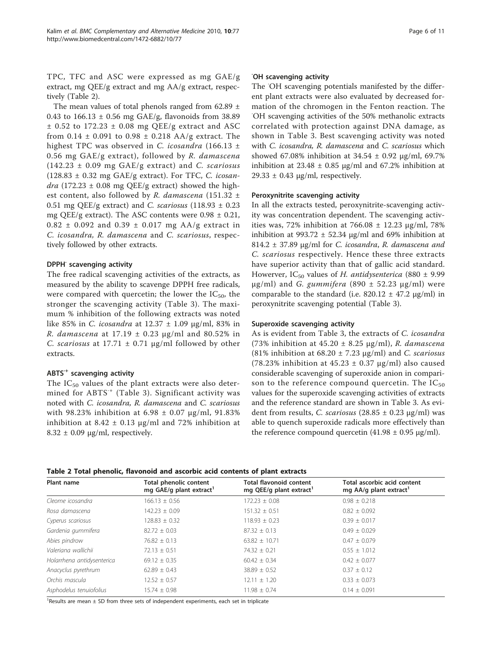TPC, TFC and ASC were expressed as mg GAE/g extract, mg QEE/g extract and mg AA/g extract, respectively (Table 2).

The mean values of total phenols ranged from  $62.89 \pm$ 0.43 to  $166.13 \pm 0.56$  mg GAE/g, flavonoids from 38.89  $\pm$  0.52 to 172.23  $\pm$  0.08 mg QEE/g extract and ASC from  $0.14 \pm 0.091$  to  $0.98 \pm 0.218$  AA/g extract. The highest TPC was observed in C. icosandra (166.13  $\pm$ 0.56 mg GAE/g extract), followed by  $R$ . damascena  $(142.23 \pm 0.09 \text{ mg } \text{GAE/g } \text{extract})$  and C. scariosus  $(128.83 \pm 0.32 \text{ mg } \text{GAE/g } \text{extract})$ . For TFC, C. icosandra (172.23  $\pm$  0.08 mg QEE/g extract) showed the highest content, also followed by R. damascena (151.32 ± 0.51 mg QEE/g extract) and C. scariosus  $(118.93 \pm 0.23)$ mg QEE/g extract). The ASC contents were  $0.98 \pm 0.21$ ,  $0.82 \pm 0.092$  and  $0.39 \pm 0.017$  mg AA/g extract in C. icosandra, R. damascena and C. scariosus, respectively followed by other extracts.

#### DPPH· scavenging activity

The free radical scavenging activities of the extracts, as measured by the ability to scavenge DPPH free radicals, were compared with quercetin; the lower the  $IC_{50}$ , the stronger the scavenging activity (Table [3\)](#page-6-0). The maximum % inhibition of the following extracts was noted like 85% in C. icosandra at 12.37 ± 1.09 μg/ml, 83% in R. damascena at  $17.19 \pm 0.23$  µg/ml and 80.52% in C. scariosus at 17.71  $\pm$  0.71 µg/ml followed by other extracts.

#### ABTS·+ scavenging activity

The  $IC_{50}$  values of the plant extracts were also determined for  $ABTS^+$  (Table [3](#page-6-0)). Significant activity was noted with C. icosandra, R. damascena and C. scariosus with 98.23% inhibition at  $6.98 \pm 0.07$  µg/ml, 91.83% inhibition at  $8.42 \pm 0.13$  µg/ml and 72% inhibition at  $8.32 \pm 0.09$  µg/ml, respectively.

# · OH scavenging activity

The OH scavenging potentials manifested by the different plant extracts were also evaluated by decreased formation of the chromogen in the Fenton reaction. The OH scavenging activities of the 50% methanolic extracts correlated with protection against DNA damage, as shown in Table [3](#page-6-0). Best scavenging activity was noted with C. icosandra, R. damascena and C. scariosus which showed 67.08% inhibition at 34.54 ± 0.92 μg/ml, 69.7% inhibition at  $23.48 \pm 0.85$  µg/ml and 67.2% inhibition at  $29.33 \pm 0.43$   $\mu$ g/ml, respectively.

#### Peroxynitrite scavenging activity

In all the extracts tested, peroxynitrite-scavenging activity was concentration dependent. The scavenging activities was, 72% inhibition at 766.08  $\pm$  12.23 μg/ml, 78% inhibition at 993.72  $\pm$  52.34 μg/ml and 69% inhibition at  $814.2 \pm 37.89$  μg/ml for C. icosandra, R. damascena and C. scariosus respectively. Hence these three extracts have superior activity than that of gallic acid standard. Howerver, IC<sub>50</sub> values of H. antidysenterica (880  $\pm$  9.99 μg/ml) and G. gummifera (890  $\pm$  52.23 μg/ml) were comparable to the standard (i.e.  $820.12 \pm 47.2$  μg/ml) in peroxynitrite scavenging potential (Table [3\)](#page-6-0).

#### Superoxide scavenging activity

As is evident from Table [3](#page-6-0), the extracts of C. icosandra (73% inhibition at  $45.20 \pm 8.25$  µg/ml), R. damascena (81% inhibition at 68.20  $\pm$  7.23  $\mu$ g/ml) and *C. scariosus* (78.23% inhibition at  $45.23 \pm 0.37$  µg/ml) also caused considerable scavenging of superoxide anion in comparison to the reference compound quercetin. The  $IC_{50}$ values for the superoxide scavenging activities of extracts and the reference standard are shown in Table [3.](#page-6-0) As evident from results, C. scariosus ( $28.85 \pm 0.23$  µg/ml) was able to quench superoxide radicals more effectively than the reference compound quercetin  $(41.98 \pm 0.95 \,\mu g/ml)$ .

| Table 2 Total phenolic, flavonoid and ascorbic acid contents of plant extracts |  |  |  |  |  |  |  |  |  |  |  |  |  |
|--------------------------------------------------------------------------------|--|--|--|--|--|--|--|--|--|--|--|--|--|
|--------------------------------------------------------------------------------|--|--|--|--|--|--|--|--|--|--|--|--|--|

| Plant name                 | Total phenolic content<br>mg GAE/g plant extract <sup>1</sup> | <b>Total flavonoid content</b><br>mg QEE/g plant extract <sup>1</sup> | Total ascorbic acid content<br>mg AA/g plant extract <sup>1</sup> |
|----------------------------|---------------------------------------------------------------|-----------------------------------------------------------------------|-------------------------------------------------------------------|
| Cleome icosandra           | $166.13 \pm 0.56$                                             | $172.23 \pm 0.08$                                                     | $0.98 \pm 0.218$                                                  |
| Rosa damascena             | $142.23 \pm 0.09$                                             | $151.32 \pm 0.51$                                                     | $0.82 \pm 0.092$                                                  |
| Cyperus scariosus          | $128.83 \pm 0.32$                                             | $118.93 \pm 0.23$                                                     | $0.39 \pm 0.017$                                                  |
| Gardenia gummifera         | $82.72 \pm 0.03$                                              | $87.32 \pm 0.13$                                                      | $0.49 \pm 0.029$                                                  |
| Abies pindrow              | $76.82 \pm 0.13$                                              | $63.82 \pm 10.71$                                                     | $0.47 \pm 0.079$                                                  |
| Valeriana wallichii        | $72.13 \pm 0.51$                                              | $74.32 \pm 0.21$                                                      | $0.55 \pm 1.012$                                                  |
| Holarrhena antidysenterica | $69.12 \pm 0.35$                                              | $60.42 \pm 0.34$                                                      | $0.42 \pm 0.077$                                                  |
| Anacyclus pyrethrum        | $62.89 \pm 0.43$                                              | $38.89 \pm 0.52$                                                      | $0.37 \pm 0.12$                                                   |
| Orchis mascula             | $12.52 \pm 0.57$                                              | $12.11 \pm 1.20$                                                      | $0.33 \pm 0.073$                                                  |
| Asphodelus tenuiofolius    | $15.74 \pm 0.98$                                              | $11.98 \pm 0.74$                                                      | $0.14 \pm 0.091$                                                  |
|                            |                                                               |                                                                       |                                                                   |

<sup>1</sup> Results are mean  $\pm$  SD from three sets of independent experiments, each set in triplicate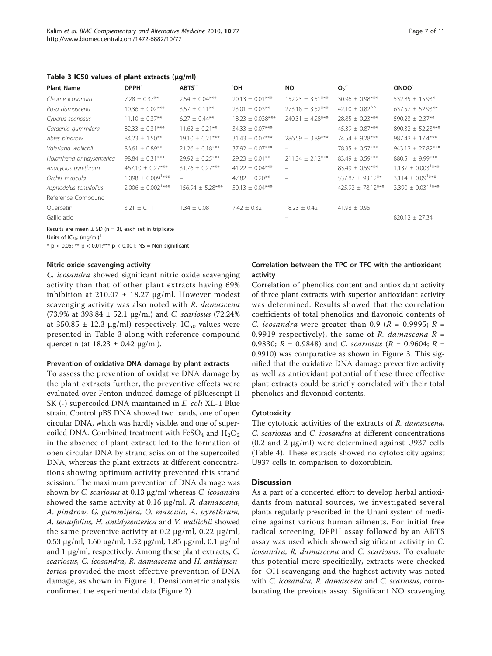<span id="page-6-0"></span>Table 3 IC50 values of plant extracts (μg/ml)

| <b>Plant Name</b>          | DPPH <sup>®</sup>                 | $ABTS+$              | ЮÏ                   | NO                   | $O_2$ <sup>-</sup>             | ONOO <sup>-</sup>                 |
|----------------------------|-----------------------------------|----------------------|----------------------|----------------------|--------------------------------|-----------------------------------|
| Cleome icosandra           | $7.28 \pm 0.37**$                 | $2.54 \pm 0.04***$   | $20.13 \pm 0.01***$  | $152.23 \pm 3.51***$ | $30.96 \pm 0.98***$            | 532.85 $\pm$ 15.93*               |
| Rosa damascena             | $10.36 \pm 0.02***$               | $3.57 \pm 0.11***$   | $23.01 \pm 0.03$ **  | $273.18 \pm 3.52***$ | 42.10 $\pm$ 0.82 <sup>NS</sup> | $637.57 \pm 52.93***$             |
| Cyperus scariosus          | $11.10 \pm 0.37**$                | $6.27 \pm 0.44***$   | $18.23 \pm 0.038***$ | $240.31 \pm 4.28***$ | $28.85 \pm 0.23***$            | $590.23 \pm 2.37**$               |
| Gardenia gummifera         | $82.33 \pm 0.31***$               | $11.62 \pm 0.21$ **  | $34.33 \pm 0.07***$  |                      | $45.39 \pm 0.87***$            | $890.32 \pm 52.23***$             |
| Abies pindrow              | $84.23 \pm 1.50***$               | $19.10 \pm 0.21***$  | $31.43 \pm 0.07***$  | $286.59 \pm 3.89***$ | 74.54 $\pm$ 9.28***            | $987.42 \pm 17.4***$              |
| Valeriana wallichii        | $86.61 \pm 0.89**$                | $21.26 \pm 0.18***$  | $37.92 \pm 0.07***$  |                      | 78.35 $\pm$ 0.57***            | $943.12 \pm 27.82***$             |
| Holarrhena antidysenterica | $98.84 \pm 0.31***$               | $29.92 \pm 0.25***$  | $29.23 \pm 0.01***$  | $211.34 \pm 2.12***$ | $83.49 \pm 0.59***$            | $880.51 \pm 9.99***$              |
| Anacyclus pyrethrum        | $467.10 \pm 0.27***$              | $31.76 + 0.27***$    | $41.22 + 0.04***$    |                      | $83.49 \pm 0.59***$            | $1.137 \pm 0.003$ <sup>1***</sup> |
| Orchis mascula             | $1.098 \pm 0.009$ <sup>1***</sup> |                      | $47.82 \pm 0.20***$  |                      | 537.87 ± 93.12**               | $3.114 \pm 0.09$ <sup>1***</sup>  |
| Asphodelus tenuifolius     | $2.006 \pm 0.002$ <sup>1***</sup> | $156.94 \pm 5.28***$ | $50.13 \pm 0.04***$  |                      | $425.92 \pm 78.12***$          | $3.390 \pm 0.031$ <sup>1***</sup> |
| Reference Compound         |                                   |                      |                      |                      |                                |                                   |
| Quercetin                  | $3.21 \pm 0.11$                   | $1.34 \pm 0.08$      | $7.42 \pm 0.32$      | $18.23 \pm 0.42$     | $41.98 \pm 0.95$               |                                   |
| Gallic acid                |                                   |                      |                      |                      |                                | $820.12 \pm 27.34$                |

Results are mean  $\pm$  SD (n = 3), each set in triplicate

Units of  $IC_{50}$ : (mg/ml)<sup>1</sup>

\* p < 0.05; \*\* p < 0.01; \*\*\* p < 0.001; NS = Non significant

#### Nitric oxide scavenging activity

C. icosandra showed significant nitric oxide scavenging activity than that of other plant extracts having 69% inhibition at  $210.07 \pm 18.27$   $\mu$ g/ml. However modest scavenging activity was also noted with R. damascena (73.9% at 398.84  $\pm$  52.1 µg/ml) and *C. scariosus* (72.24%) at 350.85  $\pm$  12.3 μg/ml) respectively. IC<sub>50</sub> values were presented in Table 3 along with reference compound quercetin (at  $18.23 \pm 0.42$  μg/ml).

#### Prevention of oxidative DNA damage by plant extracts

To assess the prevention of oxidative DNA damage by the plant extracts further, the preventive effects were evaluated over Fenton-induced damage of pBluescript II SK (-) supercoiled DNA maintained in E. coli XL-1 Blue strain. Control pBS DNA showed two bands, one of open circular DNA, which was hardly visible, and one of supercoiled DNA. Combined treatment with  $FeSO<sub>4</sub>$  and  $H<sub>2</sub>O<sub>2</sub>$ in the absence of plant extract led to the formation of open circular DNA by strand scission of the supercoiled DNA, whereas the plant extracts at different concentrations showing optimum activity prevented this strand scission. The maximum prevention of DNA damage was shown by C. scariosus at 0.13 μg/ml whereas C. icosandra showed the same activity at 0.16 μg/ml. R. damascena, A. pindrow, G. gummifera, O. mascula, A. pyrethrum, A. tenuifolius, H. antidysenterica and V. wallichii showed the same preventive activity at 0.2 μg/ml, 0.22 μg/ml, 0.53 μg/ml, 1.60 μg/ml, 1.52 μg/ml, 1.85 μg/ml, 0.1 μg/ml and 1 μg/ml, respectively. Among these plant extracts, C. scariosus, C. icosandra, R. damascena and H. antidysenterica provided the most effective prevention of DNA damage, as shown in Figure [1](#page-7-0). Densitometric analysis confirmed the experimental data (Figure [2](#page-7-0)).

### Correlation between the TPC or TFC with the antioxidant activity

Correlation of phenolics content and antioxidant activity of three plant extracts with superior antioxidant activity was determined. Results showed that the correlation coefficients of total phenolics and flavonoid contents of C. icosandra were greater than 0.9 ( $R = 0.9995$ ;  $R =$ 0.9919 respectively), the same of R. damascena  $R =$ 0.9830;  $R = 0.9848$ ) and *C. scariosus* ( $R = 0.9604$ ;  $R = 0.9830$ 0.9910) was comparative as shown in Figure [3.](#page-8-0) This signified that the oxidative DNA damage preventive activity as well as antioxidant potential of these three effective plant extracts could be strictly correlated with their total phenolics and flavonoid contents.

#### **Cytotoxicity**

The cytotoxic activities of the extracts of R. damascena, C. scariosus and C. icosandra at different concentrations (0.2 and 2 μg/ml) were determined against U937 cells (Table [4](#page-8-0)). These extracts showed no cytotoxicity against U937 cells in comparison to doxorubicin.

# **Discussion**

As a part of a concerted effort to develop herbal antioxidants from natural sources, we investigated several plants regularly prescribed in the Unani system of medicine against various human ailments. For initial free radical screening, DPPH assay followed by an ABTS assay was used which showed significant activity in C. icosandra, R. damascena and C. scariosus. To evaluate this potential more specifically, extracts were checked for OH scavenging and the highest activity was noted with C. icosandra, R. damascena and C. scariosus, corroborating the previous assay. Significant NO scavenging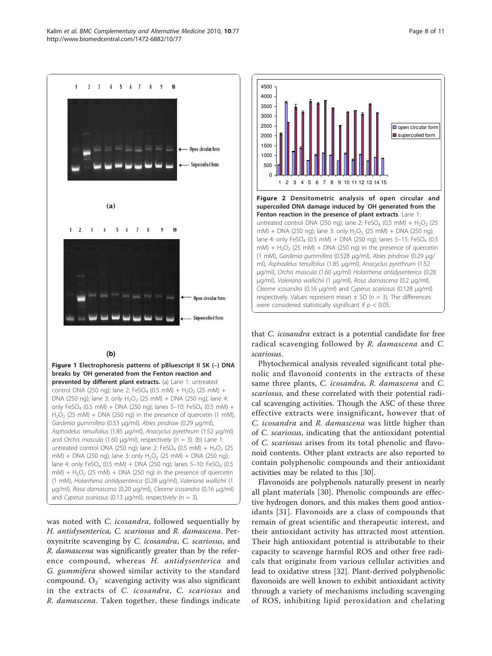

<span id="page-7-0"></span>

Figure 1 Electrophoresis patterns of pBluescript II SK (–) DNA breaks by · OH generated from the Fenton reaction and prevented by different plant extracts. (a) Lane 1: untreated control DNA (250 ng); lane 2: FeSO<sub>4</sub> (0.5 mM) + H<sub>2</sub>O<sub>2</sub> (25 mM) + DNA (250 ng); lane 3: only  $H_2O_2$  (25 mM) + DNA (250 ng); lane 4: only FeSO<sub>4</sub> (0.5 mM) + DNA (250 ng); lanes 5-10: FeSO<sub>4</sub> (0.5 mM) +  $H<sub>2</sub>O<sub>2</sub>$  (25 mM) + DNA (250 ng) in the presence of quercetin (1 mM), Gardenia gummifera (0.53 μg/ml), Abies pindrow (0.29 μg/ml), Asphodelus tenuifolius (1.85 μg/ml), Anacyclus pyrethrum (1.52 μg/ml) and Orchis mascula (1.60  $\mu$ g/ml), respectively (n = 3). (b) Lane 1: untreated control DNA (250 ng); lane 2: FeSO<sub>4</sub> (0.5 mM) + H<sub>2</sub>O<sub>2</sub> (25 mM) + DNA (250 ng); lane 3: only  $H_2O_2$  (25 mM) + DNA (250 ng); lane 4: only FeSO<sub>4</sub> (0.5 mM) + DNA (250 ng); lanes 5-10: FeSO<sub>4</sub> (0.5  $mM$ ) + H<sub>2</sub>O<sub>2</sub> (25 mM) + DNA (250 ng) in the presence of quercetin (1 mM), Holarrhena antidysenterica (0.28 μg/ml), Valeriana wallichii (1 μg/ml), Rosa damascena (0.20 μg/ml), Cleome icosandra (0.16 μg/ml) and Cyperus scariosus (0.13  $\mu$ g/ml), respectively (n = 3).

was noted with *C. icosandra*, followed sequentially by H. antidysenterica, C. scariosus and R. damascena. Peroxynitrite scavenging by C. icosandra, C. scariosus, and R. damascena was significantly greater than by the reference compound, whereas H. antidysenterica and G. gummifera showed similar activity to the standard compound.  $O_2^-$  scavenging activity was also significant in the extracts of C. icosandra, C. scariosus and R. damascena. Taken together, these findings indicate



that C. icosandra extract is a potential candidate for free radical scavenging followed by R. damascena and C. scariosus.

Phytochemical analysis revealed significant total phenolic and flavonoid contents in the extracts of these same three plants, C. icosandra, R. damascena and C. scariosus, and these correlated with their potential radical scavenging activities. Though the ASC of these three effective extracts were insignificant, however that of C. icosandra and R. damascena was little higher than of C. scariosus, indicating that the antioxidant potential of C. scariosus arises from its total phenolic and flavonoid contents. Other plant extracts are also reported to contain polyphenolic compounds and their antioxidant activities may be related to this [[30](#page-9-0)].

Flavonoids are polyphenols naturally present in nearly all plant materials [[30\]](#page-9-0). Phenolic compounds are effective hydrogen donors, and this makes them good antioxidants [[31](#page-9-0)]. Flavonoids are a class of compounds that remain of great scientific and therapeutic interest, and their antioxidant activity has attracted most attention. Their high antioxidant potential is attributable to their capacity to scavenge harmful ROS and other free radicals that originate from various cellular activities and lead to oxidative stress [[32](#page-10-0)]. Plant-derived polyphenolic flavonoids are well known to exhibit antioxidant activity through a variety of mechanisms including scavenging of ROS, inhibiting lipid peroxidation and chelating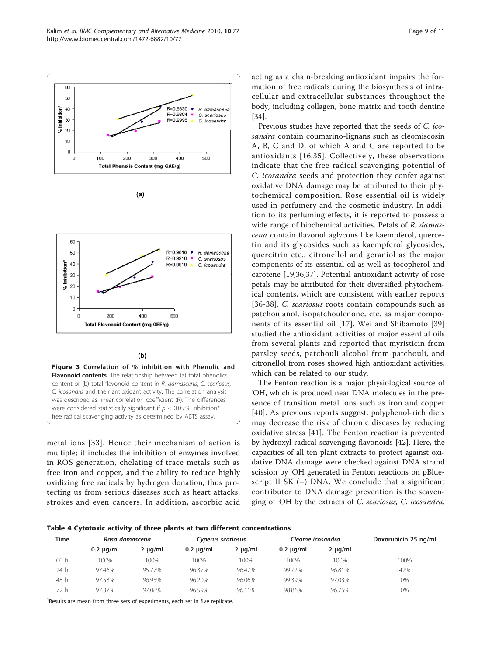<span id="page-8-0"></span>

C. icosandra and their antioxidant activity. The correlation analysis was described as linear correlation coefficient (R). The differences were considered statistically significant if  $p < 0.05$ % Inhibition\* = free radical scavenging activity as determined by ABTS assay.

metal ions [\[33\]](#page-10-0). Hence their mechanism of action is multiple; it includes the inhibition of enzymes involved in ROS generation, chelating of trace metals such as free iron and copper, and the ability to reduce highly oxidizing free radicals by hydrogen donation, thus protecting us from serious diseases such as heart attacks, strokes and even cancers. In addition, ascorbic acid acting as a chain-breaking antioxidant impairs the formation of free radicals during the biosynthesis of intracellular and extracellular substances throughout the body, including collagen, bone matrix and tooth dentine [[34\]](#page-10-0).

Previous studies have reported that the seeds of C. icosandra contain coumarino-lignans such as cleomiscosin A, B, C and D, of which A and C are reported to be antioxidants [[16,](#page-9-0)[35\]](#page-10-0). Collectively, these observations indicate that the free radical scavenging potential of C. icosandra seeds and protection they confer against oxidative DNA damage may be attributed to their phytochemical composition. Rose essential oil is widely used in perfumery and the cosmetic industry. In addition to its perfuming effects, it is reported to possess a wide range of biochemical activities. Petals of R. damascena contain flavonol aglycons like kaempferol, quercetin and its glycosides such as kaempferol glycosides, quercitrin etc., citronellol and geraniol as the major components of its essential oil as well as tocopherol and carotene [\[19](#page-9-0)[,36,37\]](#page-10-0). Potential antioxidant activity of rose petals may be attributed for their diversified phytochemical contents, which are consistent with earlier reports [[36](#page-10-0)-[38](#page-10-0)]. C. *scariosus* roots contain compounds such as patchoulanol, isopatchoulenone, etc. as major components of its essential oil [[17\]](#page-9-0). Wei and Shibamoto [\[39](#page-10-0)] studied the antioxidant activities of major essential oils from several plants and reported that myristicin from parsley seeds, patchouli alcohol from patchouli, and citronellol from roses showed high antioxidant activities, which can be related to our study.

The Fenton reaction is a major physiological source of OH, which is produced near DNA molecules in the presence of transition metal ions such as iron and copper [[40](#page-10-0)]. As previous reports suggest, polyphenol-rich diets may decrease the risk of chronic diseases by reducing oxidative stress [[41\]](#page-10-0). The Fenton reaction is prevented by hydroxyl radical-scavenging flavonoids [\[42\]](#page-10-0). Here, the capacities of all ten plant extracts to protect against oxidative DNA damage were checked against DNA strand scission by OH generated in Fenton reactions on pBluescript II SK (–) DNA. We conclude that a significant contributor to DNA damage prevention is the scavenging of OH by the extracts of C. scariosus, C. icosandra,

Table 4 Cytotoxic activity of three plants at two different concentrations

| <b>Time</b>     | Rosa damascena |              |                | Cyperus scariosus |                | Cleome icosandra | Doxorubicin 25 ng/ml |
|-----------------|----------------|--------------|----------------|-------------------|----------------|------------------|----------------------|
|                 | $0.2 \mu q/ml$ | $2 \mu q/ml$ | $0.2 \mu q/ml$ | $2 \mu q/ml$      | $0.2 \mu q/ml$ | $2 \mu q/ml$     |                      |
| 00 <sub>h</sub> | 100%           | 100%         | 100%           | 100%              | 100%           | 100%             | 100%                 |
| 24 h            | 97.46%         | 95.77%       | 96.37%         | 96.47%            | 99.72%         | 96.81%           | 42%                  |
| 48 h            | 97.58%         | 96.95%       | 96.20%         | 96.06%            | 99.39%         | 97.03%           | 0%                   |
| 72 h            | 97.37%         | 97.08%       | 96.59%         | 96.11%            | 98.86%         | 96.75%           | 0%                   |

<sup>1</sup>Results are mean from three sets of experiments, each set in five replicate.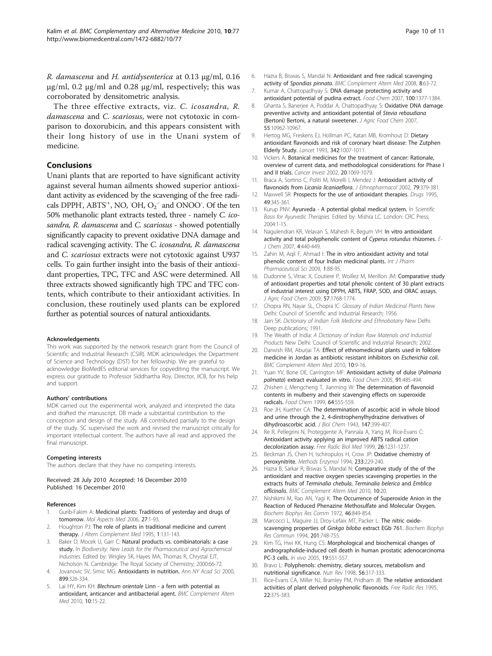<span id="page-9-0"></span>R. damascena and H. antidysenterica at 0.13 μg/ml, 0.16 μg/ml, 0.2 μg/ml and 0.28 μg/ml, respectively; this was corroborated by densitometric analysis.

The three effective extracts, viz. C. icosandra, R. damascena and C. scariosus, were not cytotoxic in comparison to doxorubicin, and this appears consistent with their long history of use in the Unani system of medicine.

#### Conclusions

Unani plants that are reported to have significant activity against several human ailments showed superior antioxidant activity as evidenced by the scavenging of the free radicals DPPH,  $ABTS^+$ , NO, OH,  $O_2^-$  and ONOO. Of the ten 50% methanolic plant extracts tested, three - namely C. icosandra, R. damascena and C. scariosus - showed potentially significantly capacity to prevent oxidative DNA damage and radical scavenging activity. The C. icosandra, R. damascena and C. scariosus extracts were not cytotoxic against U937 cells. To gain further insight into the basis of their antioxidant properties, TPC, TFC and ASC were determined. All three extracts showed significantly high TPC and TFC contents, which contribute to their antioxidant activities. In conclusion, these routinely used plants can be explored further as potential sources of natural antioxidants.

#### Acknowledgements

This work was supported by the network research grant from the Council of Scientific and Industrial Research (CSIR). MDK acknowledges the Department of Science and Technology (DST) for her fellowship. We are grateful to acknowledge BioMedES editorial services for copyediting the manuscript. We express our gratitude to Professor Siddhartha Roy, Director, IICB, for his help and support.

#### Authors' contributions

MDK carried out the experimental work, analyzed and interpreted the data and drafted the manuscript. DB made a substantial contribution to the conception and design of the study. AB contributed partially to the design of the study. SC supervised the work and revised the manuscript critically for important intellectual content. The authors have all read and approved the final manuscript.

#### Competing interests

The authors declare that they have no competing interests.

Received: 28 July 2010 Accepted: 16 December 2010 Published: 16 December 2010

#### References

- 1. Gurib-Fakim A: [Medicinal plants: Traditions of yesterday and drugs of](http://www.ncbi.nlm.nih.gov/pubmed/16105678?dopt=Abstract) [tomorrow.](http://www.ncbi.nlm.nih.gov/pubmed/16105678?dopt=Abstract) Mol Aspects Med 2006, 27:1-93.
- Houghton PJ: [The role of plants in traditional medicine and current](http://www.ncbi.nlm.nih.gov/pubmed/9395610?dopt=Abstract) [therapy.](http://www.ncbi.nlm.nih.gov/pubmed/9395610?dopt=Abstract) J Altern Complement Med 1995, 1:131-143.
- Baker D, Mocek U, Garr C: Natural products vs. combinatorials: a case study. In Biodiversity: New Leads for the Pharmaceutical and Agrochemical Industries. Edited by: Wrigley SK, Hayes MA, Thomas R, Chrystal EJT, Nicholson N. Cambridge: The Royal Society of Chemistry; 2000:66-72.
- 4. Jovanovic SV, Simic MG: [Antioxidants in nutrition.](http://www.ncbi.nlm.nih.gov/pubmed/10863550?dopt=Abstract) Ann NY Acad Sci 2000, 899:326-334.
- 5. Lai HY, Kim KH: Blechnum orientale [Linn a fern with potential as](http://www.ncbi.nlm.nih.gov/pubmed/20429956?dopt=Abstract) [antioxidant, anticancer and antibacterial agent.](http://www.ncbi.nlm.nih.gov/pubmed/20429956?dopt=Abstract) BMC Complement Altern Med 2010, 10:15-22.
- 6. Hazra B, Biswas S, Mandal N: [Antioxidant and free radical scavenging](http://www.ncbi.nlm.nih.gov/pubmed/19068130?dopt=Abstract) activity of [Spondias pinnata](http://www.ncbi.nlm.nih.gov/pubmed/19068130?dopt=Abstract). BMC Complement Altern Med 2008, 8:63-72.
- 7. Kumar A, Chattopadhyay S: DNA damage protecting activity and antioxidant potential of pudina extract. Food Chem 2007, 100:1377-1384.
- 8. Ghanta S, Banerjee A, Poddar A, Chattopadhyay S: [Oxidative DNA damage](http://www.ncbi.nlm.nih.gov/pubmed/18038982?dopt=Abstract) [preventive activity and antioxidant potential of](http://www.ncbi.nlm.nih.gov/pubmed/18038982?dopt=Abstract) Stevia rebaudiana [\(Bertoni\) Bertoni, a natural sweetener.](http://www.ncbi.nlm.nih.gov/pubmed/18038982?dopt=Abstract) J Agric Food Chem 2007, 55:10962-10967.
- 9. Hertog MG, Freskens EJ, Hollman PC, Katan MB, Kromhout D: [Dietary](http://www.ncbi.nlm.nih.gov/pubmed/8105262?dopt=Abstract) [antioxidant flavonoids and risk of coronary heart disease: The Zutphen](http://www.ncbi.nlm.nih.gov/pubmed/8105262?dopt=Abstract) [Elderly Study.](http://www.ncbi.nlm.nih.gov/pubmed/8105262?dopt=Abstract) Lancet 1993, 342:1007-1011.
- 10. Vickers A: [Botanical medicines for the treatment of cancer: Rationale,](http://www.ncbi.nlm.nih.gov/pubmed/12449740?dopt=Abstract) [overview of current data, and methodological considerations for Phase I](http://www.ncbi.nlm.nih.gov/pubmed/12449740?dopt=Abstract) [and II trials.](http://www.ncbi.nlm.nih.gov/pubmed/12449740?dopt=Abstract) Cancer Invest 2002, 20:1069-1079.
- 11. Braca A, Sortino C, Politi M, Morelli I, Mendez J: **[Antioxidant activity of](http://www.ncbi.nlm.nih.gov/pubmed/11849846?dopt=Abstract)** flavonoids from [Licania licaniaeflora](http://www.ncbi.nlm.nih.gov/pubmed/11849846?dopt=Abstract). J Ethnopharmacol 2002, 79:379-381.
- 12. Maxwell SR: [Prospects for the use of antioxidant therapies.](http://www.ncbi.nlm.nih.gov/pubmed/7774511?dopt=Abstract) Drugs 1995, 49:345-361.
- 13. Kurup PNV: Ayurveda A potential global medical system. In Scientific Basis for Ayurvedic Therapies. Edited by: Mishra LC. London: CRC Press; 2004:1-15.
- 14. Nagulendran KR, Velavan S, Mahesh R, Begum VH: In vitro antioxidant activity and total polyphenolic content of Cyperus rotundus rhizomes. E-J Chem 2007, 4:440-449.
- 15. Zahin M, Aqil F, Ahmad I: The in vitro antioxidant activity and total phenolic content of four Indian medicinal plants. Int J Pharm Pharmaceutical Sci 2009, 1:88-95.
- 16. Dudonne S, Vitrac X, Coutiere P, Woillez M, Merillon JM: [Comparative study](http://www.ncbi.nlm.nih.gov/pubmed/19199445?dopt=Abstract) [of antioxidant properties and total phenolic content of 30 plant extracts](http://www.ncbi.nlm.nih.gov/pubmed/19199445?dopt=Abstract) [of industrial interest using DPPH, ABTS, FRAP, SOD, and ORAC assays.](http://www.ncbi.nlm.nih.gov/pubmed/19199445?dopt=Abstract) J Agric Food Chem 2009, 57:1768-1774.
- 17. Chopra RN, Nayar SL, Chopra IC: Glossary of Indian Medicinal Plants New Delhi: Council of Scientific and Industrial Research; 1956.
- 18. Jain SK: Dictionary of Indian Folk Medicine and Ethnobotany New Delhi: Deep publications; 1991.
- 19. The Wealth of India: A Dictionary of Indian Raw Materials and Industrial Products New Delhi: Council of Scientific and Industrial Research; 2002.
- 20. Darwish RM, Aburiai TA: [Effect of ethnomedicinal plants used in folklore](http://www.ncbi.nlm.nih.gov/pubmed/20187978?dopt=Abstract) [medicine in Jordan as antibiotic resistant inhibitors on](http://www.ncbi.nlm.nih.gov/pubmed/20187978?dopt=Abstract) Escherichia coli. BMC Complement Altern Med 2010, 10:9-16.
- 21. Yuan YV, Bone DE, Carrington MF: Antioxidant activity of dulse (Palmaria palmata) extract evaluated in vitro. Food Chem 2005, 91:485-494.
- 22. Zhishen J, Mengcheng T, Jianming W: The determination of flavonoid contents in mulberry and their scavenging effects on superoxide radicals. Food Chem 1999, 64:555-559.
- 23. Roe JH, Kuether CA: The determination of ascorbic acid in whole blood and urine through the 2, 4-dinitrophenylhydrazine derivatives of dihydroascorbic acid. J Biol Chem 1943, 147:399-407.
- 24. Re R, Pellegrini N, Proteggente A, Pannala A, Yang M, Rice-Evans C: [Antioxidant activity applying an improved ABTS radical cation](http://www.ncbi.nlm.nih.gov/pubmed/10381194?dopt=Abstract) [decolorization assay.](http://www.ncbi.nlm.nih.gov/pubmed/10381194?dopt=Abstract) Free Radic Biol Med 1999, 26:1231-1237.
- 25. Beckman JS, Chen H, Ischiropulos H, Crow JP: [Oxidative chemistry of](http://www.ncbi.nlm.nih.gov/pubmed/8015460?dopt=Abstract) [peroxynitrite.](http://www.ncbi.nlm.nih.gov/pubmed/8015460?dopt=Abstract) Methods Enzymol 1994, 233:229-240.
- 26. Hazra B, Sarkar R, Biswas S, Mandal N: [Comparative study of the of the](http://www.ncbi.nlm.nih.gov/pubmed/20462461?dopt=Abstract) [antioxidant and reactive oxygen species scavenging properties in the](http://www.ncbi.nlm.nih.gov/pubmed/20462461?dopt=Abstract) extracts fruits of [Terminalia chebula](http://www.ncbi.nlm.nih.gov/pubmed/20462461?dopt=Abstract), Terminalia belerica and Emblica [officinalis](http://www.ncbi.nlm.nih.gov/pubmed/20462461?dopt=Abstract). BMC Complement Altern Med 2010, 10:20.
- 27. Nishikimi M, Rao AN, Yagi K: [The Occurrence of Superoxide Anion in the](http://www.ncbi.nlm.nih.gov/pubmed/4400444?dopt=Abstract) [Reaction of Reduced Phenazine Methosulfate and Molecular Oxygen.](http://www.ncbi.nlm.nih.gov/pubmed/4400444?dopt=Abstract) Biochem Biophys Res Comm 1972, 46:849-854.
- 28. Marcocci L, Maguire JJ, Droy-Lefaix MT, Packer L: [The nitric oxide](http://www.ncbi.nlm.nih.gov/pubmed/8003011?dopt=Abstract)[scavenging properties of](http://www.ncbi.nlm.nih.gov/pubmed/8003011?dopt=Abstract) Ginkgo biloba extract EGb 761. Biochem Biophys Res Commun 1994, 201:748-755.
- 29. Kim TG, Hwi KK, Hung CS: [Morphological and biochemical changes of](http://www.ncbi.nlm.nih.gov/pubmed/15875775?dopt=Abstract) [andrographolide-induced cell death in human prostatic adenocarcinoma](http://www.ncbi.nlm.nih.gov/pubmed/15875775?dopt=Abstract) [PC-3 cells.](http://www.ncbi.nlm.nih.gov/pubmed/15875775?dopt=Abstract) In vivo 2005, 19:551-557.
- 30. Bravo L: [Polyphenols: chemistry, dietary sources, metabolism and](http://www.ncbi.nlm.nih.gov/pubmed/9838798?dopt=Abstract) [nutritional significance.](http://www.ncbi.nlm.nih.gov/pubmed/9838798?dopt=Abstract) Nutr Rev 1998, 56:317-333.
- 31. Rice-Evans CA, Miller NJ, Bramley PM, Pridham JB: [The relative antioxidant](http://www.ncbi.nlm.nih.gov/pubmed/7633567?dopt=Abstract) [activities of plant derived polyphenolic flavonoids.](http://www.ncbi.nlm.nih.gov/pubmed/7633567?dopt=Abstract) Free Radic Res 1995, 22:375-383.